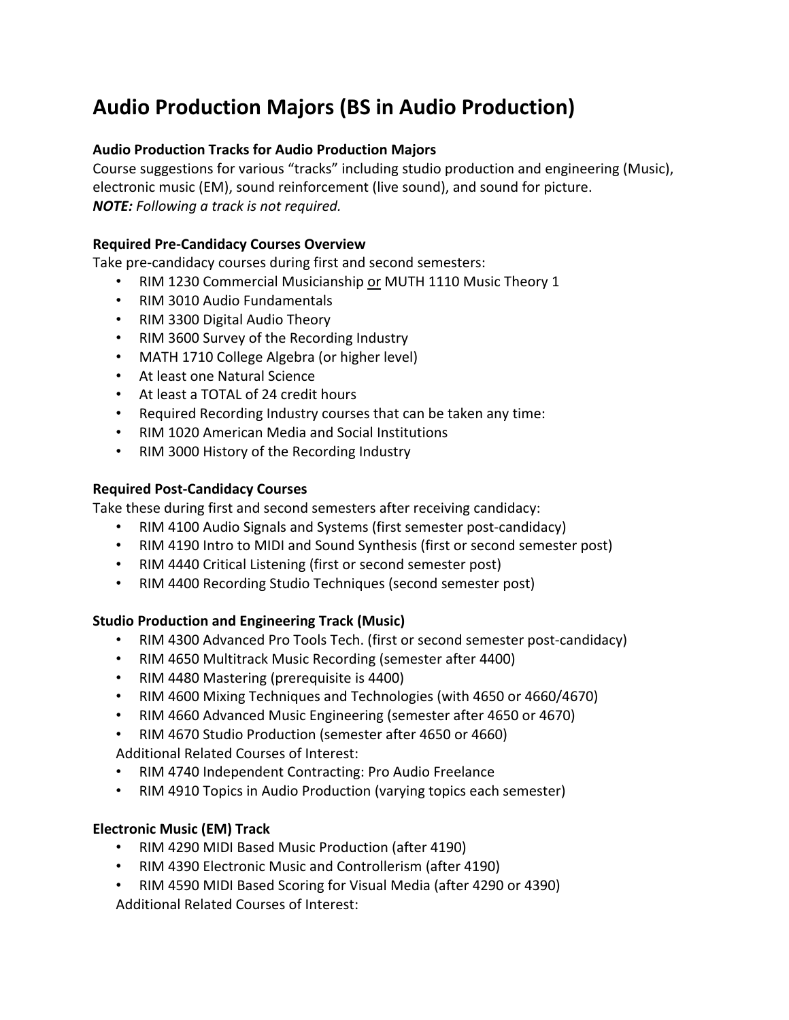# **Audio Production Majors (BS in Audio Production)**

## **Audio Production Tracks for Audio Production Majors**

Course suggestions for various "tracks" including studio production and engineering (Music), electronic music (EM), sound reinforcement (live sound), and sound for picture. *NOTE: Following a track is not required.*

### **Required Pre‐Candidacy Courses Overview**

Take pre‐candidacy courses during first and second semesters:

- RIM 1230 Commercial Musicianship or MUTH 1110 Music Theory 1
- RIM 3010 Audio Fundamentals
- RIM 3300 Digital Audio Theory
- RIM 3600 Survey of the Recording Industry
- MATH 1710 College Algebra (or higher level)
- At least one Natural Science
- At least a TOTAL of 24 credit hours
- Required Recording Industry courses that can be taken any time:
- RIM 1020 American Media and Social Institutions
- RIM 3000 History of the Recording Industry

#### **Required Post‐Candidacy Courses**

Take these during first and second semesters after receiving candidacy:

- RIM 4100 Audio Signals and Systems (first semester post-candidacy)
- RIM 4190 Intro to MIDI and Sound Synthesis (first or second semester post)
- RIM 4440 Critical Listening (first or second semester post)
- RIM 4400 Recording Studio Techniques (second semester post)

## **Studio Production and Engineering Track (Music)**

- RIM 4300 Advanced Pro Tools Tech. (first or second semester post-candidacy)
- RIM 4650 Multitrack Music Recording (semester after 4400)
- RIM 4480 Mastering (prerequisite is 4400)
- RIM 4600 Mixing Techniques and Technologies (with 4650 or 4660/4670)
- RIM 4660 Advanced Music Engineering (semester after 4650 or 4670)
- RIM 4670 Studio Production (semester after 4650 or 4660) Additional Related Courses of Interest:
- RIM 4740 Independent Contracting: Pro Audio Freelance
- RIM 4910 Topics in Audio Production (varying topics each semester)

## **Electronic Music (EM) Track**

- RIM 4290 MIDI Based Music Production (after 4190)
- RIM 4390 Electronic Music and Controllerism (after 4190)
- RIM 4590 MIDI Based Scoring for Visual Media (after 4290 or 4390) Additional Related Courses of Interest: